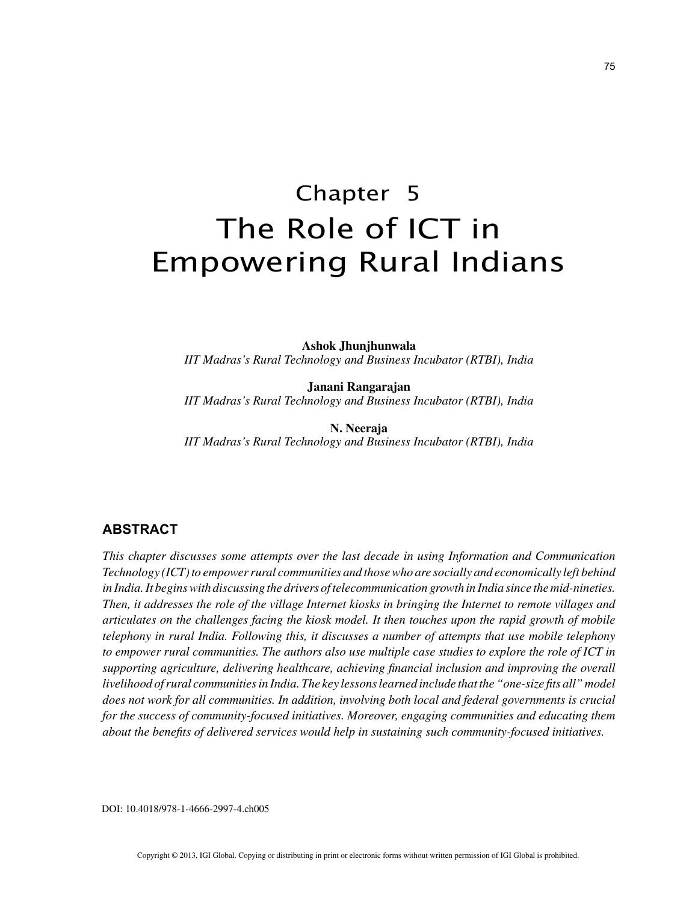# Chapter 5 The Role of ICT in Empowering Rural Indians

**Ashok Jhunjhunwala** *IIT Madras's Rural Technology and Business Incubator (RTBI), India*

**Janani Rangarajan** *IIT Madras's Rural Technology and Business Incubator (RTBI), India*

**N. Neeraja** *IIT Madras's Rural Technology and Business Incubator (RTBI), India*

## **ABSTRACT**

*This chapter discusses some attempts over the last decade in using Information and Communication Technology (ICT) to empower rural communities and those who are socially and economically left behind in India. It begins with discussing the drivers of telecommunication growth in India since the mid-nineties. Then, it addresses the role of the village Internet kiosks in bringing the Internet to remote villages and articulates on the challenges facing the kiosk model. It then touches upon the rapid growth of mobile telephony in rural India. Following this, it discusses a number of attempts that use mobile telephony to empower rural communities. The authors also use multiple case studies to explore the role of ICT in supporting agriculture, delivering healthcare, achieving financial inclusion and improving the overall livelihood of rural communities in India. The key lessons learned include that the "one-size fits all" model*  does not work for all communities. In addition, involving both local and federal governments is crucial *for the success of community-focused initiatives. Moreover, engaging communities and educating them about the benefits of delivered services would help in sustaining such community-focused initiatives.*

DOI: 10.4018/978-1-4666-2997-4.ch005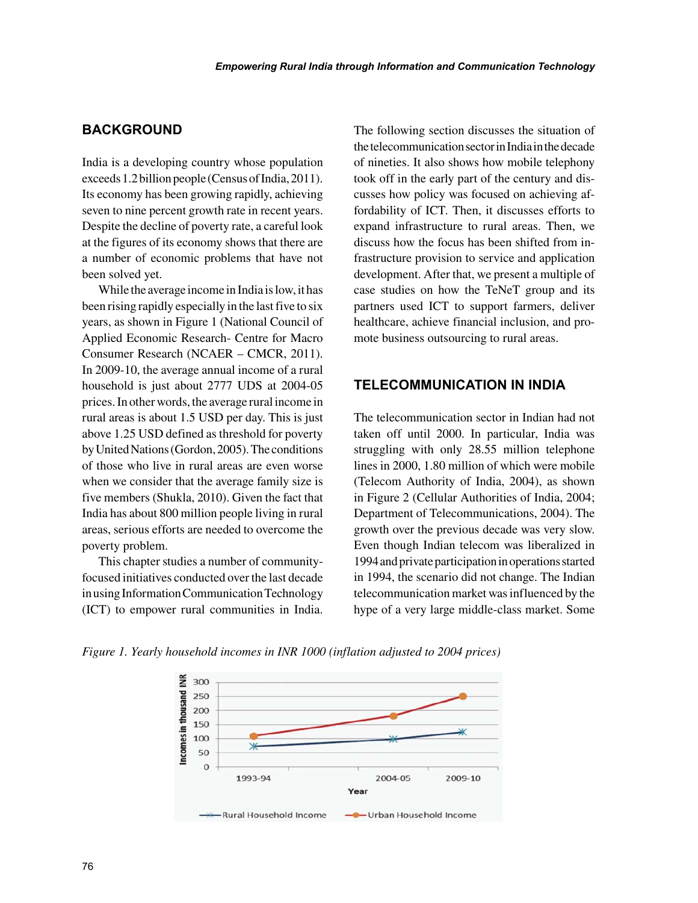## **BACKGROUND**

India is a developing country whose population exceeds 1.2 billion people (Census of India, 2011). Its economy has been growing rapidly, achieving seven to nine percent growth rate in recent years. Despite the decline of poverty rate, a careful look at the figures of its economy shows that there are a number of economic problems that have not been solved yet.

While the average income in India is low, it has been rising rapidly especially in the last five to six years, as shown in Figure 1 (National Council of Applied Economic Research- Centre for Macro Consumer Research (NCAER – CMCR, 2011). In 2009-10, the average annual income of a rural household is just about 2777 UDS at 2004-05 prices. In other words, the average rural income in rural areas is about 1.5 USD per day. This is just above 1.25 USD defined as threshold for poverty by United Nations (Gordon, 2005). The conditions of those who live in rural areas are even worse when we consider that the average family size is five members (Shukla, 2010). Given the fact that India has about 800 million people living in rural areas, serious efforts are needed to overcome the poverty problem.

This chapter studies a number of communityfocused initiatives conducted over the last decade in using Information Communication Technology (ICT) to empower rural communities in India. The following section discusses the situation of the telecommunication sector in India in the decade of nineties. It also shows how mobile telephony took off in the early part of the century and discusses how policy was focused on achieving affordability of ICT. Then, it discusses efforts to expand infrastructure to rural areas. Then, we discuss how the focus has been shifted from infrastructure provision to service and application development. After that, we present a multiple of case studies on how the TeNeT group and its partners used ICT to support farmers, deliver healthcare, achieve financial inclusion, and promote business outsourcing to rural areas.

## **TELECOMMUNICATION IN INDIA**

The telecommunication sector in Indian had not taken off until 2000. In particular, India was struggling with only 28.55 million telephone lines in 2000, 1.80 million of which were mobile (Telecom Authority of India, 2004), as shown in Figure 2 (Cellular Authorities of India, 2004; Department of Telecommunications, 2004). The growth over the previous decade was very slow. Even though Indian telecom was liberalized in 1994 and private participation in operations started in 1994, the scenario did not change. The Indian telecommunication market was influenced by the hype of a very large middle-class market. Some

*Figure 1. Yearly household incomes in INR 1000 (inflation adjusted to 2004 prices)*